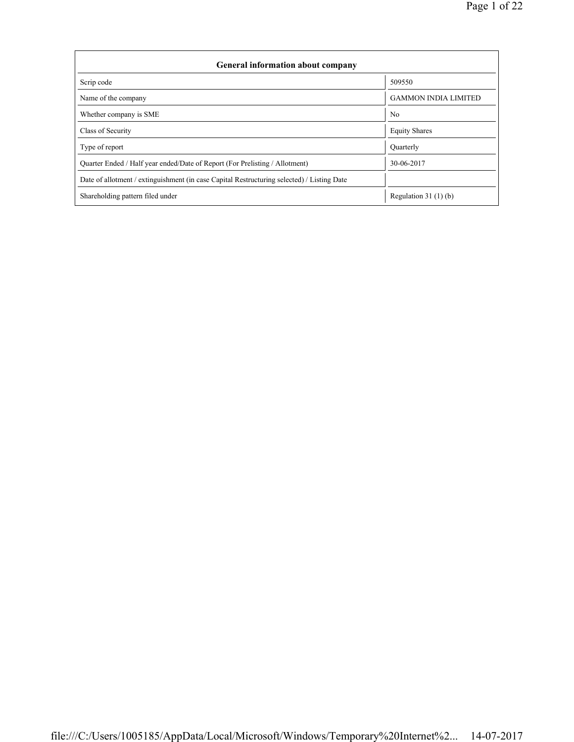| <b>General information about company</b>                                                   |                             |  |  |  |  |  |  |
|--------------------------------------------------------------------------------------------|-----------------------------|--|--|--|--|--|--|
| Scrip code                                                                                 | 509550                      |  |  |  |  |  |  |
| Name of the company                                                                        | <b>GAMMON INDIA LIMITED</b> |  |  |  |  |  |  |
| Whether company is SME                                                                     | No                          |  |  |  |  |  |  |
| Class of Security                                                                          | <b>Equity Shares</b>        |  |  |  |  |  |  |
| Type of report                                                                             | Quarterly                   |  |  |  |  |  |  |
| Quarter Ended / Half year ended/Date of Report (For Prelisting / Allotment)                | 30-06-2017                  |  |  |  |  |  |  |
| Date of allotment / extinguishment (in case Capital Restructuring selected) / Listing Date |                             |  |  |  |  |  |  |
| Shareholding pattern filed under                                                           | Regulation $31(1)(b)$       |  |  |  |  |  |  |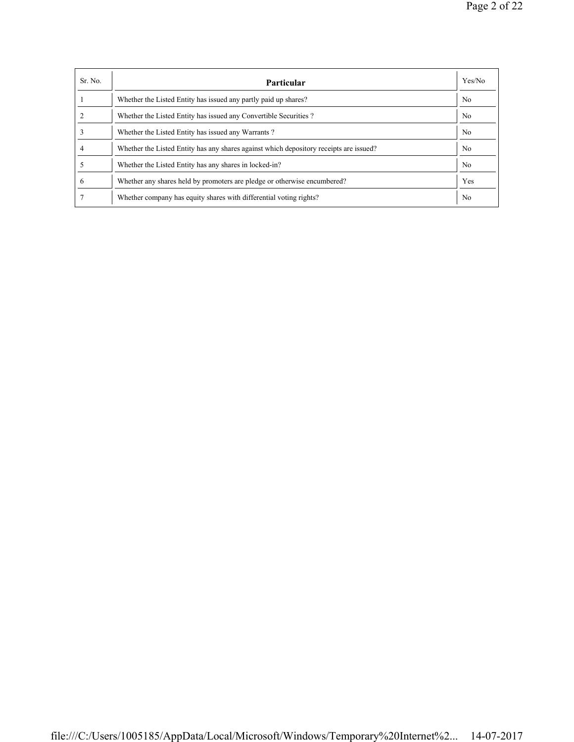| Sr. No. | Particular                                                                             | Yes/No         |
|---------|----------------------------------------------------------------------------------------|----------------|
|         | Whether the Listed Entity has issued any partly paid up shares?                        | No             |
|         | Whether the Listed Entity has issued any Convertible Securities?                       | N <sub>0</sub> |
|         | Whether the Listed Entity has issued any Warrants?                                     | N <sub>0</sub> |
|         | Whether the Listed Entity has any shares against which depository receipts are issued? | N <sub>0</sub> |
|         | Whether the Listed Entity has any shares in locked-in?                                 | N <sub>0</sub> |
| 6       | Whether any shares held by promoters are pledge or otherwise encumbered?               | Yes            |
|         | Whether company has equity shares with differential voting rights?                     | No             |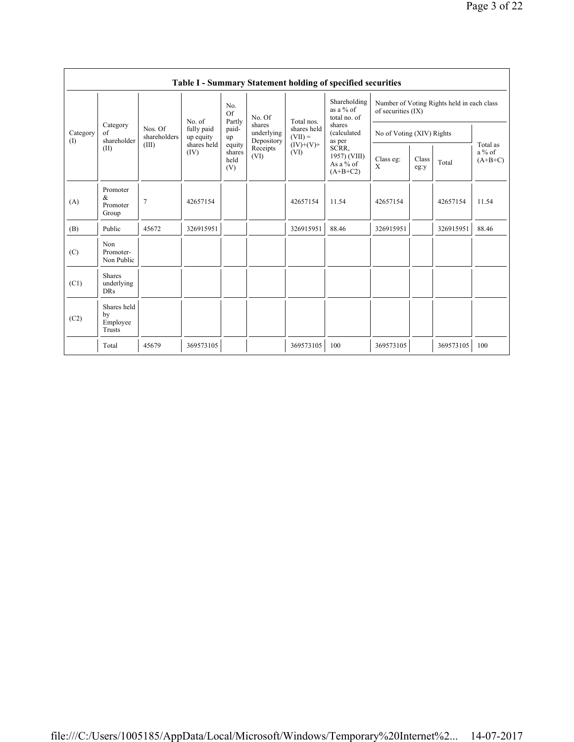|                 | <b>Table I - Summary Statement holding of specified securities</b> |                                          |                                                          |                                                          |                                                                  |                                                               |                                                                                                                                    |                                                                  |               |           |                                   |  |
|-----------------|--------------------------------------------------------------------|------------------------------------------|----------------------------------------------------------|----------------------------------------------------------|------------------------------------------------------------------|---------------------------------------------------------------|------------------------------------------------------------------------------------------------------------------------------------|------------------------------------------------------------------|---------------|-----------|-----------------------------------|--|
| Category<br>(1) | Category<br>of<br>shareholder                                      | Nos. Of<br>shareholders<br>(III)<br>(II) | No. of<br>fully paid<br>up equity<br>shares held<br>(IV) | No.<br><b>Of</b>                                         | No. Of<br>shares<br>underlying<br>Depository<br>Receipts<br>(VI) | Total nos.<br>shares held<br>$(VII) =$<br>$(IV)+(V)+$<br>(VI) | Shareholding<br>as a $%$ of<br>total no. of<br>shares<br>(calculated<br>as per<br>SCRR,<br>1957) (VIII)<br>As a % of<br>$(A+B+C2)$ | Number of Voting Rights held in each class<br>of securities (IX) |               |           |                                   |  |
|                 |                                                                    |                                          |                                                          | Partly<br>paid-<br>up<br>equity<br>shares<br>held<br>(V) |                                                                  |                                                               |                                                                                                                                    | No of Voting (XIV) Rights                                        |               |           |                                   |  |
|                 |                                                                    |                                          |                                                          |                                                          |                                                                  |                                                               |                                                                                                                                    | Class eg:<br>X                                                   | Class<br>eg:y | Total     | Total as<br>$a\%$ of<br>$(A+B+C)$ |  |
| (A)             | Promoter<br>&<br>Promoter<br>Group                                 | $\overline{7}$                           | 42657154                                                 |                                                          |                                                                  | 42657154                                                      | 11.54                                                                                                                              | 42657154                                                         |               | 42657154  | 11.54                             |  |
| (B)             | Public                                                             | 45672                                    | 326915951                                                |                                                          |                                                                  | 326915951                                                     | 88.46                                                                                                                              | 326915951                                                        |               | 326915951 | 88.46                             |  |
| (C)             | Non<br>Promoter-<br>Non Public                                     |                                          |                                                          |                                                          |                                                                  |                                                               |                                                                                                                                    |                                                                  |               |           |                                   |  |
| (C1)            | <b>Shares</b><br>underlying<br><b>DRs</b>                          |                                          |                                                          |                                                          |                                                                  |                                                               |                                                                                                                                    |                                                                  |               |           |                                   |  |
| (C2)            | Shares held<br>by<br>Employee<br>Trusts                            |                                          |                                                          |                                                          |                                                                  |                                                               |                                                                                                                                    |                                                                  |               |           |                                   |  |
|                 | Total                                                              | 45679                                    | 369573105                                                |                                                          |                                                                  | 369573105                                                     | 100                                                                                                                                | 369573105                                                        |               | 369573105 | 100                               |  |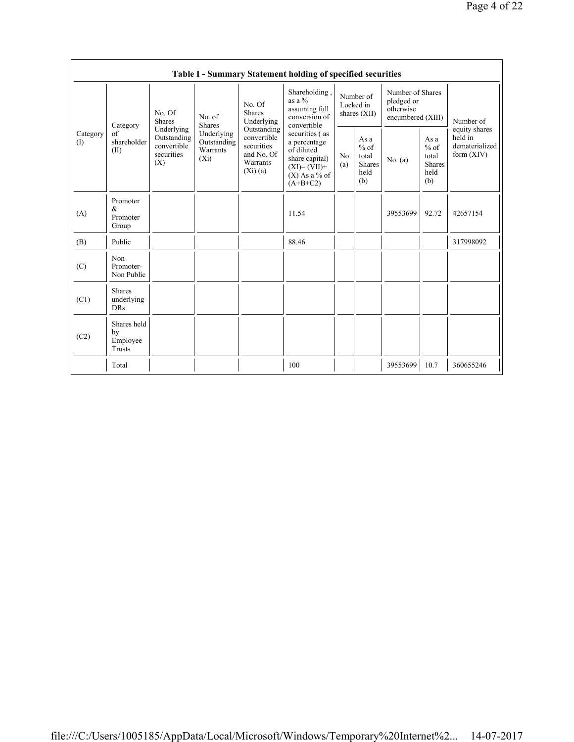|                 | Table I - Summary Statement holding of specified securities |                                                                                                                                |                                       |                                                                                                                        |                                                                                                                     |                                          |                                                  |                                                                  |                                                         |                                                            |  |  |
|-----------------|-------------------------------------------------------------|--------------------------------------------------------------------------------------------------------------------------------|---------------------------------------|------------------------------------------------------------------------------------------------------------------------|---------------------------------------------------------------------------------------------------------------------|------------------------------------------|--------------------------------------------------|------------------------------------------------------------------|---------------------------------------------------------|------------------------------------------------------------|--|--|
|                 | Category<br>of<br>shareholder<br>(II)                       | No. Of<br>No. of<br><b>Shares</b><br><b>Shares</b><br>Underlying<br>Outstanding<br>convertible<br>securities<br>$(X_i)$<br>(X) |                                       | No. Of<br><b>Shares</b><br>Underlying<br>Outstanding<br>convertible<br>securities<br>and No. Of<br>Warrants<br>(Xi)(a) | Shareholding,<br>as a %<br>assuming full<br>conversion of<br>convertible                                            | Number of<br>Locked in<br>shares $(XII)$ |                                                  | Number of Shares<br>pledged or<br>otherwise<br>encumbered (XIII) |                                                         | Number of                                                  |  |  |
| Category<br>(1) |                                                             |                                                                                                                                | Underlying<br>Outstanding<br>Warrants |                                                                                                                        | securities (as<br>a percentage<br>of diluted<br>share capital)<br>$(XI) = (VII) +$<br>$(X)$ As a % of<br>$(A+B+C2)$ | No.<br>(a)                               | As a<br>$%$ of<br>total<br>Shares<br>held<br>(b) | No. (a)                                                          | As a<br>$%$ of<br>total<br><b>Shares</b><br>held<br>(b) | equity shares<br>held in<br>dematerialized<br>form $(XIV)$ |  |  |
| (A)             | Promoter<br>$\&$<br>Promoter<br>Group                       |                                                                                                                                |                                       |                                                                                                                        | 11.54                                                                                                               |                                          |                                                  | 39553699                                                         | 92.72                                                   | 42657154                                                   |  |  |
| (B)             | Public                                                      |                                                                                                                                |                                       |                                                                                                                        | 88.46                                                                                                               |                                          |                                                  |                                                                  |                                                         | 317998092                                                  |  |  |
| (C)             | Non<br>Promoter-<br>Non Public                              |                                                                                                                                |                                       |                                                                                                                        |                                                                                                                     |                                          |                                                  |                                                                  |                                                         |                                                            |  |  |
| (C1)            | <b>Shares</b><br>underlying<br><b>DRs</b>                   |                                                                                                                                |                                       |                                                                                                                        |                                                                                                                     |                                          |                                                  |                                                                  |                                                         |                                                            |  |  |
| (C2)            | Shares held<br>by<br>Employee<br>Trusts                     |                                                                                                                                |                                       |                                                                                                                        |                                                                                                                     |                                          |                                                  |                                                                  |                                                         |                                                            |  |  |
|                 | Total                                                       |                                                                                                                                |                                       |                                                                                                                        | 100                                                                                                                 |                                          |                                                  | 39553699                                                         | 10.7                                                    | 360655246                                                  |  |  |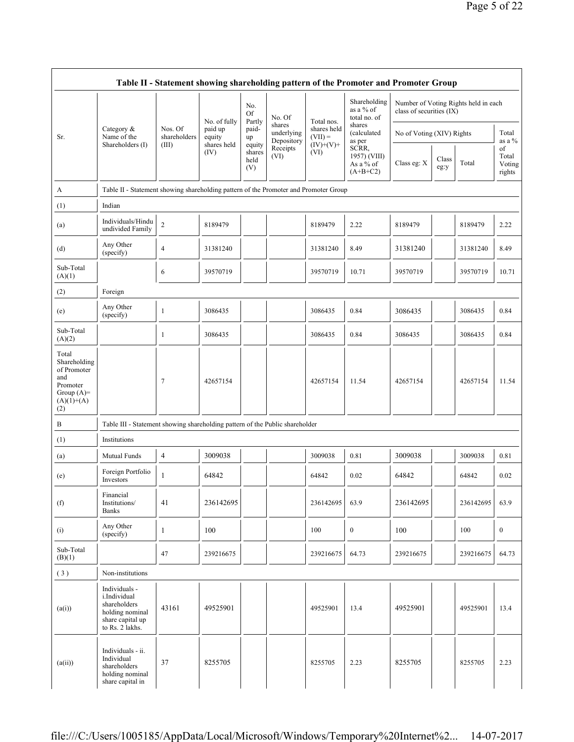|                                                                                                | Table II - Statement showing shareholding pattern of the Promoter and Promoter Group                    |                         |                                   |                                 |                                    |                          |                                                  |                           |               |                                      |                                 |  |
|------------------------------------------------------------------------------------------------|---------------------------------------------------------------------------------------------------------|-------------------------|-----------------------------------|---------------------------------|------------------------------------|--------------------------|--------------------------------------------------|---------------------------|---------------|--------------------------------------|---------------------------------|--|
|                                                                                                |                                                                                                         |                         |                                   | No.<br><b>Of</b>                | No. Of                             | Total nos.               | Shareholding<br>as a % of<br>total no. of        | class of securities (IX)  |               | Number of Voting Rights held in each |                                 |  |
| Sr.                                                                                            | Category &<br>Name of the                                                                               | Nos. Of<br>shareholders | No. of fully<br>paid up<br>equity | Partly<br>paid-<br>up           | shares<br>underlying<br>Depository | shares held<br>$(VII) =$ | shares<br>(calculated<br>as per                  | No of Voting (XIV) Rights |               |                                      | Total<br>as a $\%$              |  |
|                                                                                                | Shareholders (I)                                                                                        | (III)                   | shares held<br>(IV)               | equity<br>shares<br>held<br>(V) | Receipts<br>(VI)                   | $(IV)+(V)+$<br>(VI)      | SCRR,<br>1957) (VIII)<br>As a % of<br>$(A+B+C2)$ | Class eg: X               | Class<br>eg:y | Total                                | of<br>Total<br>Voting<br>rights |  |
| A                                                                                              | Table II - Statement showing shareholding pattern of the Promoter and Promoter Group                    |                         |                                   |                                 |                                    |                          |                                                  |                           |               |                                      |                                 |  |
| (1)                                                                                            | Indian                                                                                                  |                         |                                   |                                 |                                    |                          |                                                  |                           |               |                                      |                                 |  |
| (a)                                                                                            | Individuals/Hindu<br>undivided Family                                                                   | $\overline{c}$          | 8189479                           |                                 |                                    | 8189479                  | 2.22                                             | 8189479                   |               | 8189479                              | 2.22                            |  |
| (d)                                                                                            | Any Other<br>(specify)                                                                                  | $\overline{4}$          | 31381240                          |                                 |                                    | 31381240                 | 8.49                                             | 31381240                  |               | 31381240                             | 8.49                            |  |
| Sub-Total<br>(A)(1)                                                                            |                                                                                                         | 6                       | 39570719                          |                                 |                                    | 39570719                 | 10.71                                            | 39570719                  |               | 39570719                             | 10.71                           |  |
| (2)                                                                                            | Foreign                                                                                                 |                         |                                   |                                 |                                    |                          |                                                  |                           |               |                                      |                                 |  |
| (e)                                                                                            | Any Other<br>(specify)                                                                                  | $\mathbf{1}$            | 3086435                           |                                 |                                    | 3086435                  | 0.84                                             | 3086435                   |               | 3086435                              | 0.84                            |  |
| Sub-Total<br>(A)(2)                                                                            |                                                                                                         | $\mathbf{1}$            | 3086435                           |                                 |                                    | 3086435                  | 0.84                                             | 3086435                   |               | 3086435                              | 0.84                            |  |
| Total<br>Shareholding<br>of Promoter<br>and<br>Promoter<br>Group $(A)=$<br>$(A)(1)+(A)$<br>(2) |                                                                                                         | 7                       | 42657154                          |                                 |                                    | 42657154                 | 11.54                                            | 42657154                  |               | 42657154                             | 11.54                           |  |
| B                                                                                              | Table III - Statement showing shareholding pattern of the Public shareholder                            |                         |                                   |                                 |                                    |                          |                                                  |                           |               |                                      |                                 |  |
| (1)                                                                                            | Institutions                                                                                            |                         |                                   |                                 |                                    |                          |                                                  |                           |               |                                      |                                 |  |
| (a)                                                                                            | Mutual Funds                                                                                            | $\overline{4}$          | 3009038                           |                                 |                                    | 3009038                  | 0.81                                             | 3009038                   |               | 3009038                              | 0.81                            |  |
| (e)                                                                                            | Foreign Portfolio<br>Investors                                                                          | 1                       | 64842                             |                                 |                                    | 64842                    | 0.02                                             | 64842                     |               | 64842                                | 0.02                            |  |
| (f)                                                                                            | Financial<br>Institutions/<br><b>Banks</b>                                                              | 41                      | 236142695                         |                                 |                                    | 236142695                | 63.9                                             | 236142695                 |               | 236142695                            | 63.9                            |  |
| (i)                                                                                            | Any Other<br>(specify)                                                                                  | $\mathbf{1}$            | 100                               |                                 |                                    | 100                      | $\mathbf{0}$                                     | 100                       |               | 100                                  | $\bf{0}$                        |  |
| Sub-Total<br>(B)(1)                                                                            |                                                                                                         | 47                      | 239216675                         |                                 |                                    | 239216675                | 64.73                                            | 239216675                 |               | 239216675                            | 64.73                           |  |
| (3)                                                                                            | Non-institutions                                                                                        |                         |                                   |                                 |                                    |                          |                                                  |                           |               |                                      |                                 |  |
| (a(i))                                                                                         | Individuals -<br>i.Individual<br>shareholders<br>holding nominal<br>share capital up<br>to Rs. 2 lakhs. | 43161                   | 49525901                          |                                 |                                    | 49525901                 | 13.4                                             | 49525901                  |               | 49525901                             | 13.4                            |  |
| (a(ii))                                                                                        | Individuals - ii.<br>Individual<br>shareholders<br>holding nominal<br>share capital in                  | 37                      | 8255705                           |                                 |                                    | 8255705                  | 2.23                                             | 8255705                   |               | 8255705                              | 2.23                            |  |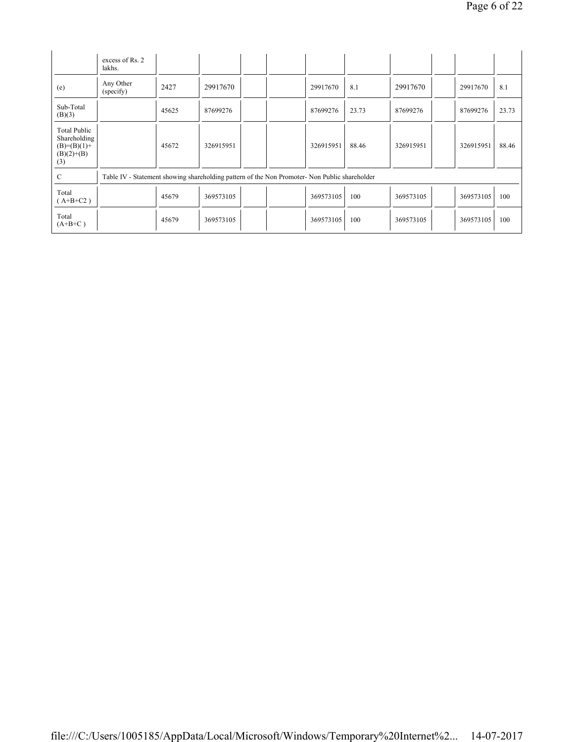|                                                                      | excess of Rs. 2<br>lakhs.                                                                     |       |           |  |           |       |           |           |       |
|----------------------------------------------------------------------|-----------------------------------------------------------------------------------------------|-------|-----------|--|-----------|-------|-----------|-----------|-------|
| (e)                                                                  | Any Other<br>(specify)                                                                        | 2427  | 29917670  |  | 29917670  | 8.1   | 29917670  | 29917670  | 8.1   |
| Sub-Total<br>(B)(3)                                                  |                                                                                               | 45625 | 87699276  |  | 87699276  | 23.73 | 87699276  | 87699276  | 23.73 |
| Total Public<br>Shareholding<br>$(B)=(B)(1)+$<br>$(B)(2)+(B)$<br>(3) |                                                                                               | 45672 | 326915951 |  | 326915951 | 88.46 | 326915951 | 326915951 | 88.46 |
| C                                                                    | Table IV - Statement showing shareholding pattern of the Non Promoter- Non Public shareholder |       |           |  |           |       |           |           |       |
| Total<br>$(A+B+C2)$                                                  |                                                                                               | 45679 | 369573105 |  | 369573105 | 100   | 369573105 | 369573105 | 100   |
| Total<br>$(A+B+C)$                                                   |                                                                                               | 45679 | 369573105 |  | 369573105 | 100   | 369573105 | 369573105 | 100   |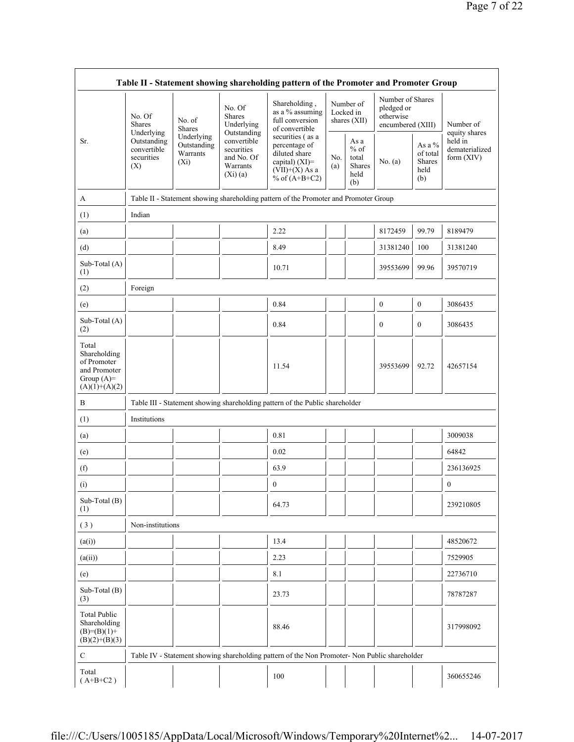| Table II - Statement showing shareholding pattern of the Promoter and Promoter Group    |                                                                        |                           |                                                                   |                                                                                                             |            |                                                         |                                                                  |                                                      |                                         |  |
|-----------------------------------------------------------------------------------------|------------------------------------------------------------------------|---------------------------|-------------------------------------------------------------------|-------------------------------------------------------------------------------------------------------------|------------|---------------------------------------------------------|------------------------------------------------------------------|------------------------------------------------------|-----------------------------------------|--|
|                                                                                         | No. Of<br><b>Shares</b><br>Underlying                                  | No. of<br><b>Shares</b>   | No. Of<br><b>Shares</b><br>Underlying<br>Outstanding              | Shareholding,<br>as a % assuming<br>full conversion<br>of convertible                                       |            | Number of<br>Locked in<br>shares (XII)                  | Number of Shares<br>pledged or<br>otherwise<br>encumbered (XIII) |                                                      | Number of<br>equity shares              |  |
| Sr.                                                                                     | Outstanding<br>convertible<br>Warrants<br>securities<br>$(X_i)$<br>(X) | Underlying<br>Outstanding | convertible<br>securities<br>and No. Of<br>Warrants<br>$(Xi)$ (a) | securities (as a<br>percentage of<br>diluted share<br>capital) (XI)=<br>$(VII)+(X)$ As a<br>% of $(A+B+C2)$ | No.<br>(a) | As a<br>$%$ of<br>total<br><b>Shares</b><br>held<br>(b) | No. $(a)$                                                        | As a $%$<br>of total<br><b>Shares</b><br>held<br>(b) | held in<br>dematerialized<br>form (XIV) |  |
| A                                                                                       |                                                                        |                           |                                                                   | Table II - Statement showing shareholding pattern of the Promoter and Promoter Group                        |            |                                                         |                                                                  |                                                      |                                         |  |
| (1)                                                                                     | Indian                                                                 |                           |                                                                   |                                                                                                             |            |                                                         |                                                                  |                                                      |                                         |  |
| (a)                                                                                     |                                                                        |                           |                                                                   | 2.22                                                                                                        |            |                                                         | 8172459                                                          | 99.79                                                | 8189479                                 |  |
| (d)                                                                                     |                                                                        |                           |                                                                   | 8.49                                                                                                        |            |                                                         | 31381240                                                         | 100                                                  | 31381240                                |  |
| Sub-Total (A)<br>(1)                                                                    |                                                                        |                           |                                                                   | 10.71                                                                                                       |            |                                                         | 39553699                                                         | 99.96                                                | 39570719                                |  |
| (2)                                                                                     | Foreign                                                                |                           |                                                                   |                                                                                                             |            |                                                         |                                                                  |                                                      |                                         |  |
| (e)                                                                                     |                                                                        |                           |                                                                   | 0.84                                                                                                        |            |                                                         | $\boldsymbol{0}$                                                 | $\boldsymbol{0}$                                     | 3086435                                 |  |
| Sub-Total (A)<br>(2)                                                                    |                                                                        |                           |                                                                   | 0.84                                                                                                        |            |                                                         | $\mathbf{0}$                                                     | $\mathbf{0}$                                         | 3086435                                 |  |
| Total<br>Shareholding<br>of Promoter<br>and Promoter<br>Group $(A)=$<br>$(A)(1)+(A)(2)$ |                                                                        |                           |                                                                   | 11.54                                                                                                       |            |                                                         | 39553699                                                         | 92.72                                                | 42657154                                |  |
| В                                                                                       |                                                                        |                           |                                                                   | Table III - Statement showing shareholding pattern of the Public shareholder                                |            |                                                         |                                                                  |                                                      |                                         |  |
| (1)                                                                                     | Institutions                                                           |                           |                                                                   |                                                                                                             |            |                                                         |                                                                  |                                                      |                                         |  |
| (a)                                                                                     |                                                                        |                           |                                                                   | 0.81                                                                                                        |            |                                                         |                                                                  |                                                      | 3009038                                 |  |
| (e)                                                                                     |                                                                        |                           |                                                                   | 0.02                                                                                                        |            |                                                         |                                                                  |                                                      | 64842                                   |  |
| (f)                                                                                     |                                                                        |                           |                                                                   | 63.9                                                                                                        |            |                                                         |                                                                  |                                                      | 236136925                               |  |
| (i)                                                                                     |                                                                        |                           |                                                                   | $\boldsymbol{0}$                                                                                            |            |                                                         |                                                                  |                                                      | $\boldsymbol{0}$                        |  |
| Sub-Total (B)<br>(1)                                                                    |                                                                        |                           |                                                                   | 64.73                                                                                                       |            |                                                         |                                                                  |                                                      | 239210805                               |  |
| (3)                                                                                     | Non-institutions                                                       |                           |                                                                   |                                                                                                             |            |                                                         |                                                                  |                                                      |                                         |  |
| (a(i))                                                                                  |                                                                        |                           |                                                                   | 13.4                                                                                                        |            |                                                         |                                                                  |                                                      | 48520672                                |  |
| (a(ii))                                                                                 |                                                                        |                           |                                                                   | 2.23                                                                                                        |            |                                                         |                                                                  |                                                      | 7529905                                 |  |
| (e)                                                                                     |                                                                        |                           |                                                                   | 8.1                                                                                                         |            |                                                         |                                                                  |                                                      | 22736710                                |  |
| Sub-Total (B)<br>(3)                                                                    |                                                                        |                           |                                                                   | 23.73                                                                                                       |            |                                                         |                                                                  |                                                      | 78787287                                |  |
| <b>Total Public</b><br>Shareholding<br>$(B)= (B)(1) +$<br>$(B)(2)+(B)(3)$               |                                                                        |                           |                                                                   | 88.46                                                                                                       |            |                                                         |                                                                  |                                                      | 317998092                               |  |
| С                                                                                       |                                                                        |                           |                                                                   | Table IV - Statement showing shareholding pattern of the Non Promoter- Non Public shareholder               |            |                                                         |                                                                  |                                                      |                                         |  |
| Total<br>$(A+B+C2)$                                                                     |                                                                        |                           |                                                                   | 100                                                                                                         |            |                                                         |                                                                  |                                                      | 360655246                               |  |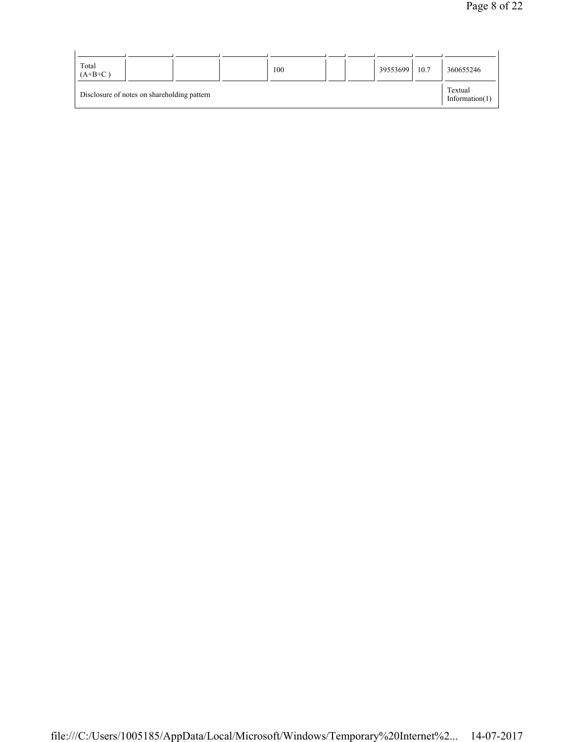| Total                                       |  | 100 |  | 39553699 | 10.7 | 360655246                    |
|---------------------------------------------|--|-----|--|----------|------|------------------------------|
| $(A+B+C)$                                   |  |     |  |          |      |                              |
| Disclosure of notes on shareholding pattern |  |     |  |          |      | Textual<br>Information $(1)$ |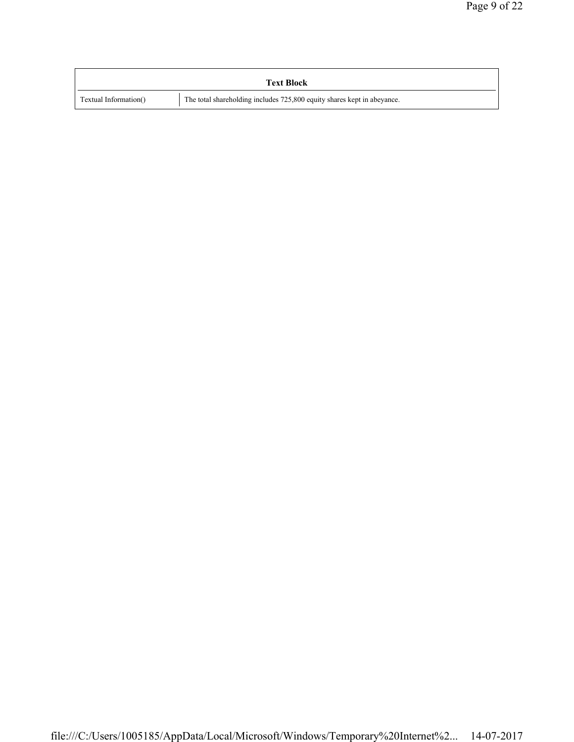|                       | <b>Text Block</b>                                                       |
|-----------------------|-------------------------------------------------------------------------|
| Textual Information() | The total shareholding includes 725,800 equity shares kept in abeyance. |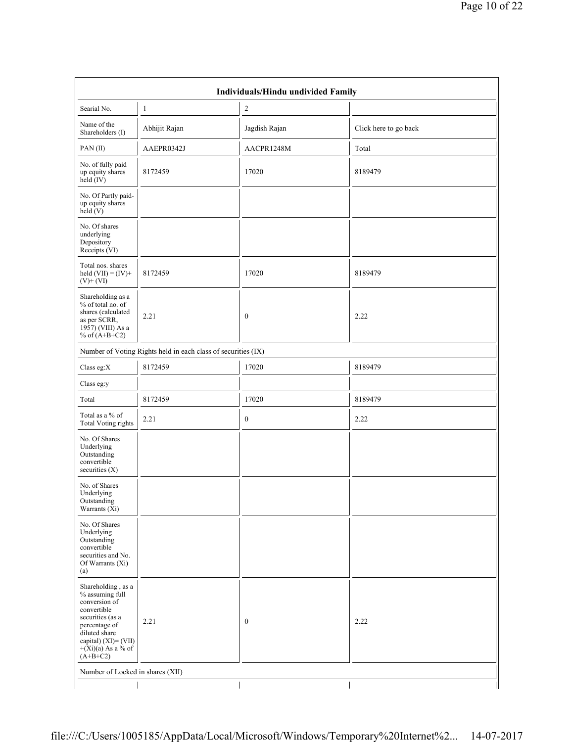|                                                                                                                                                                                           |                                                               | <b>Individuals/Hindu undivided Family</b> |                       |
|-------------------------------------------------------------------------------------------------------------------------------------------------------------------------------------------|---------------------------------------------------------------|-------------------------------------------|-----------------------|
| Searial No.                                                                                                                                                                               | 1                                                             | $\overline{c}$                            |                       |
| Name of the<br>Shareholders (I)                                                                                                                                                           | Abhijit Rajan                                                 | Jagdish Rajan                             | Click here to go back |
| PAN(II)                                                                                                                                                                                   | AAEPR0342J                                                    | AACPR1248M                                | Total                 |
| No. of fully paid<br>up equity shares<br>held $(IV)$                                                                                                                                      | 8172459                                                       | 17020                                     | 8189479               |
| No. Of Partly paid-<br>up equity shares<br>held $(V)$                                                                                                                                     |                                                               |                                           |                       |
| No. Of shares<br>underlying<br>Depository<br>Receipts (VI)                                                                                                                                |                                                               |                                           |                       |
| Total nos. shares<br>held $(VII) = (IV) +$<br>$(V)+(VI)$                                                                                                                                  | 8172459                                                       | 17020                                     | 8189479               |
| Shareholding as a<br>% of total no. of<br>shares (calculated<br>as per SCRR,<br>1957) (VIII) As a<br>% of $(A+B+C2)$                                                                      | 2.21                                                          | $\boldsymbol{0}$                          | 2.22                  |
|                                                                                                                                                                                           | Number of Voting Rights held in each class of securities (IX) |                                           |                       |
| Class eg: $X$                                                                                                                                                                             | 8172459                                                       | 17020                                     | 8189479               |
| Class eg:y                                                                                                                                                                                |                                                               |                                           |                       |
| Total                                                                                                                                                                                     | 8172459                                                       | 17020                                     | 8189479               |
| Total as a % of<br><b>Total Voting rights</b>                                                                                                                                             | 2.21                                                          | $\bf{0}$                                  | 2.22                  |
| No. Of Shares<br>Underlying<br>Outstanding<br>convertible<br>securities $(X)$                                                                                                             |                                                               |                                           |                       |
| No. of Shares<br>Underlying<br>Outstanding<br>Warrants (Xi)                                                                                                                               |                                                               |                                           |                       |
| No. Of Shares<br>Underlying<br>Outstanding<br>convertible<br>securities and No.<br>Of Warrants (Xi)<br>(a)                                                                                |                                                               |                                           |                       |
| Shareholding, as a<br>% assuming full<br>conversion of<br>convertible<br>securities (as a<br>percentage of<br>diluted share<br>capital) (XI)= (VII)<br>$+(Xi)(a)$ As a % of<br>$(A+B+C2)$ | 2.21                                                          | $\boldsymbol{0}$                          | 2.22                  |
| Number of Locked in shares (XII)                                                                                                                                                          |                                                               |                                           |                       |
|                                                                                                                                                                                           |                                                               |                                           |                       |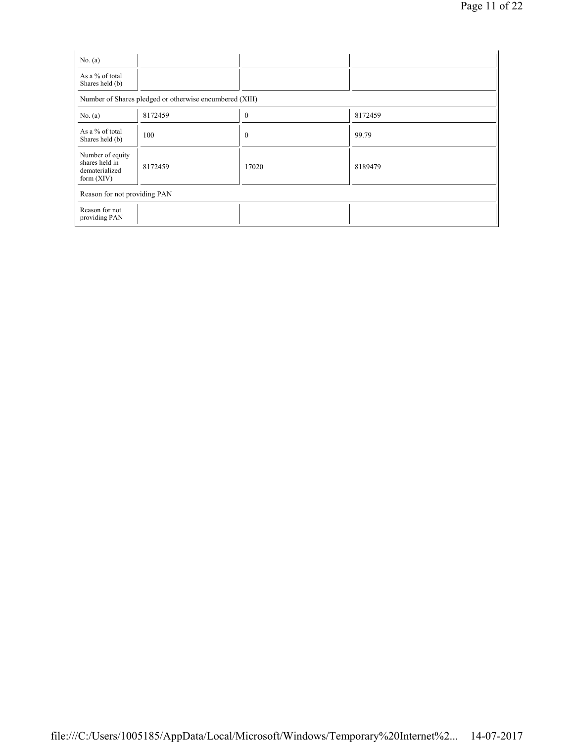| No. $(a)$<br>As a % of total                                         |         |              |         |  |  |  |  |  |  |
|----------------------------------------------------------------------|---------|--------------|---------|--|--|--|--|--|--|
| Shares held (b)                                                      |         |              |         |  |  |  |  |  |  |
| Number of Shares pledged or otherwise encumbered (XIII)              |         |              |         |  |  |  |  |  |  |
| No. (a)                                                              | 8172459 | $\mathbf{0}$ | 8172459 |  |  |  |  |  |  |
| As a % of total<br>Shares held (b)                                   | 100     | $\mathbf{0}$ | 99.79   |  |  |  |  |  |  |
| Number of equity<br>shares held in<br>dematerialized<br>form $(XIV)$ | 8172459 | 17020        | 8189479 |  |  |  |  |  |  |
| Reason for not providing PAN                                         |         |              |         |  |  |  |  |  |  |
| Reason for not<br>providing PAN                                      |         |              |         |  |  |  |  |  |  |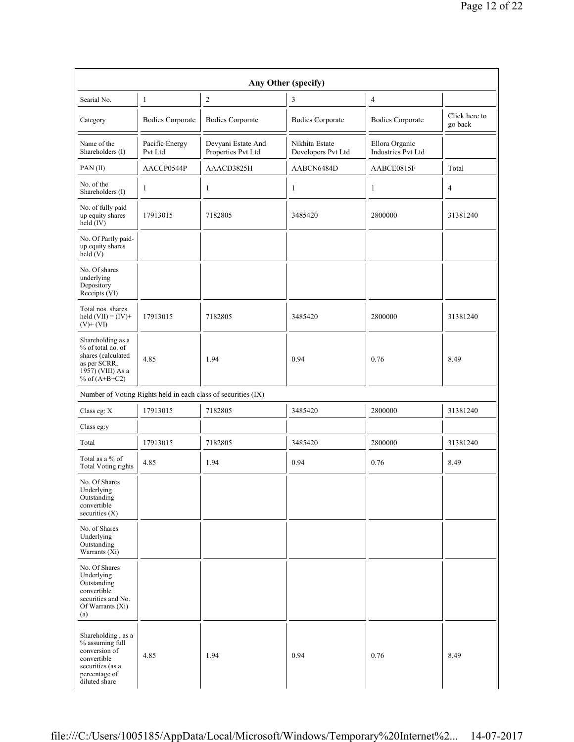|                                                                                                                                    |                           |                                                               | Any Other (specify)                  |                                      |                          |
|------------------------------------------------------------------------------------------------------------------------------------|---------------------------|---------------------------------------------------------------|--------------------------------------|--------------------------------------|--------------------------|
| Searial No.                                                                                                                        | 1                         | $\overline{c}$                                                | 3                                    | $\overline{4}$                       |                          |
| Category                                                                                                                           | <b>Bodies Corporate</b>   | <b>Bodies Corporate</b>                                       | <b>Bodies Corporate</b>              | <b>Bodies Corporate</b>              | Click here to<br>go back |
| Name of the<br>Shareholders (I)                                                                                                    | Pacific Energy<br>Pvt Ltd | Devyani Estate And<br>Properties Pvt Ltd                      | Nikhita Estate<br>Developers Pvt Ltd | Ellora Organic<br>Industries Pvt Ltd |                          |
| PAN(II)                                                                                                                            | AACCP0544P                | AAACD3825H                                                    | AABCN6484D                           | AABCE0815F                           | Total                    |
| No. of the<br>Shareholders (I)                                                                                                     | 1                         | 1                                                             | $\mathbf{1}$                         | $\mathbf{1}$                         | 4                        |
| No. of fully paid<br>up equity shares<br>held $(IV)$                                                                               | 17913015                  | 7182805                                                       | 3485420                              | 2800000                              | 31381240                 |
| No. Of Partly paid-<br>up equity shares<br>held(V)                                                                                 |                           |                                                               |                                      |                                      |                          |
| No. Of shares<br>underlying<br>Depository<br>Receipts (VI)                                                                         |                           |                                                               |                                      |                                      |                          |
| Total nos. shares<br>held $(VII) = (IV) +$<br>$(V)+(VI)$                                                                           | 17913015                  | 7182805                                                       | 3485420                              | 2800000                              | 31381240                 |
| Shareholding as a<br>% of total no. of<br>shares (calculated<br>as per SCRR,<br>$19\overline{57}$ ) (VIII) As a<br>% of $(A+B+C2)$ | 4.85                      | 1.94                                                          | 0.94                                 | 0.76                                 | 8.49                     |
|                                                                                                                                    |                           | Number of Voting Rights held in each class of securities (IX) |                                      |                                      |                          |
| Class eg: X                                                                                                                        | 17913015                  | 7182805                                                       | 3485420                              | 2800000                              | 31381240                 |
| Class eg:y                                                                                                                         |                           |                                                               |                                      |                                      |                          |
| Total                                                                                                                              | 17913015                  | 7182805                                                       | 3485420                              | 2800000                              | 31381240                 |
| Total as a % of<br><b>Total Voting rights</b>                                                                                      | 4.85                      | 1.94                                                          | 0.94                                 | 0.76                                 | 8.49                     |
| No. Of Shares<br>Underlying<br>Outstanding<br>convertible<br>securities $(X)$                                                      |                           |                                                               |                                      |                                      |                          |
| No. of Shares<br>Underlying<br>Outstanding<br>Warrants (Xi)                                                                        |                           |                                                               |                                      |                                      |                          |
| No. Of Shares<br>Underlying<br>Outstanding<br>convertible<br>securities and No.<br>Of Warrants (Xi)<br>(a)                         |                           |                                                               |                                      |                                      |                          |
| Shareholding, as a<br>% assuming full<br>conversion of<br>convertible<br>securities (as a<br>percentage of<br>diluted share        | 4.85                      | 1.94                                                          | 0.94                                 | 0.76                                 | 8.49                     |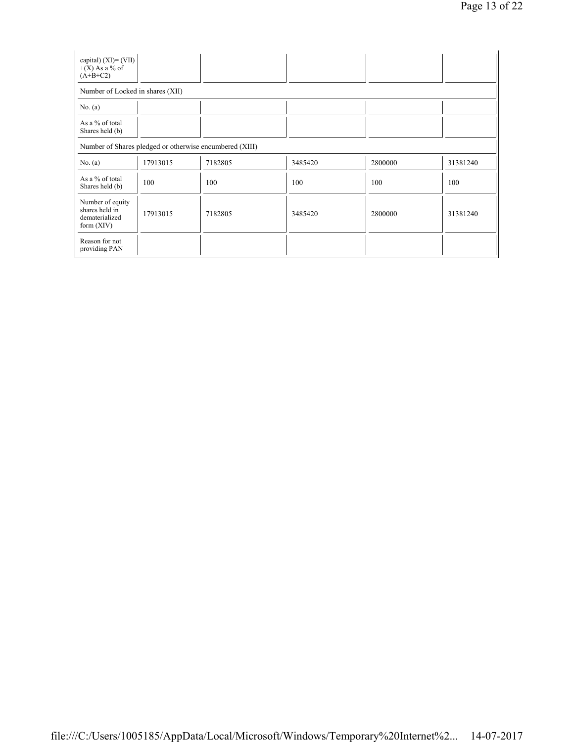| capital) $(XI) = (VII)$<br>$+(X)$ As a % of<br>$(A+B+C2)$            |                                                         |         |         |         |          |
|----------------------------------------------------------------------|---------------------------------------------------------|---------|---------|---------|----------|
| Number of Locked in shares (XII)                                     |                                                         |         |         |         |          |
| No. $(a)$                                                            |                                                         |         |         |         |          |
| As a % of total<br>Shares held (b)                                   |                                                         |         |         |         |          |
|                                                                      | Number of Shares pledged or otherwise encumbered (XIII) |         |         |         |          |
| No. (a)                                                              | 17913015                                                | 7182805 | 3485420 | 2800000 | 31381240 |
| As a % of total<br>Shares held (b)                                   | 100                                                     | 100     | 100     | 100     | 100      |
| Number of equity<br>shares held in<br>dematerialized<br>form $(XIV)$ | 17913015                                                | 7182805 | 3485420 | 2800000 | 31381240 |
| Reason for not<br>providing PAN                                      |                                                         |         |         |         |          |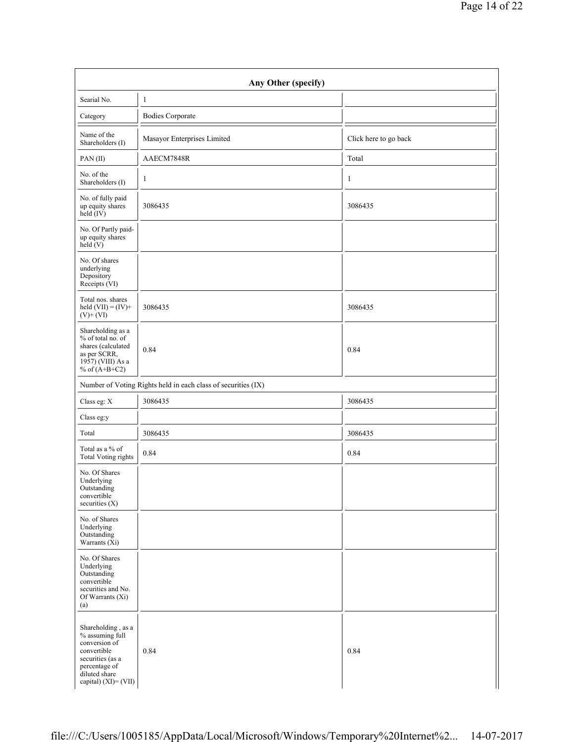| Searial No.                                                                                                                          | $\mathbf{1}$                                                  |                       |
|--------------------------------------------------------------------------------------------------------------------------------------|---------------------------------------------------------------|-----------------------|
| Category                                                                                                                             | <b>Bodies Corporate</b>                                       |                       |
| Name of the<br>Shareholders (I)                                                                                                      | Masayor Enterprises Limited                                   | Click here to go back |
| PAN(II)                                                                                                                              | AAECM7848R                                                    | Total                 |
| No. of the<br>Shareholders (I)                                                                                                       | $\mathbf{1}$                                                  | $\mathbf{1}$          |
| No. of fully paid<br>up equity shares<br>$\text{held}(\text{IV})$                                                                    | 3086435                                                       | 3086435               |
| No. Of Partly paid-<br>up equity shares<br>$\text{held} (V)$                                                                         |                                                               |                       |
| No. Of shares<br>underlying<br>Depository<br>Receipts (VI)                                                                           |                                                               |                       |
| Total nos. shares<br>held $(VII) = (IV) +$<br>$(V) + (VI)$                                                                           | 3086435                                                       | 3086435               |
| Shareholding as a<br>$%$ of total no. of<br>shares (calculated<br>as per SCRR,<br>$19\overline{57}$ ) (VIII) As a<br>% of $(A+B+C2)$ | 0.84                                                          | 0.84                  |
|                                                                                                                                      | Number of Voting Rights held in each class of securities (IX) |                       |
| Class eg: $\mathbf X$                                                                                                                | 3086435                                                       | 3086435               |
| Class eg:y                                                                                                                           |                                                               |                       |
| Total                                                                                                                                | 3086435                                                       | 3086435               |
| Total as a % of<br><b>Total Voting rights</b>                                                                                        | 0.84                                                          | 0.84                  |
| No. Of Shares<br>Underlying<br>Outstanding<br>convertible<br>securities (X)                                                          |                                                               |                       |
| No. of Shares<br>Underlying<br>Outstanding<br>Warrants $(X_i)$                                                                       |                                                               |                       |
| No. Of Shares<br>Underlying<br>Outstanding<br>convertible<br>securities and No.<br>Of Warrants (Xi)<br>(a)                           |                                                               |                       |
| Shareholding, as a<br>$\%$ assuming full<br>conversion of<br>convertible<br>securities (as a<br>percentage of<br>diluted share       | 0.84                                                          | 0.84                  |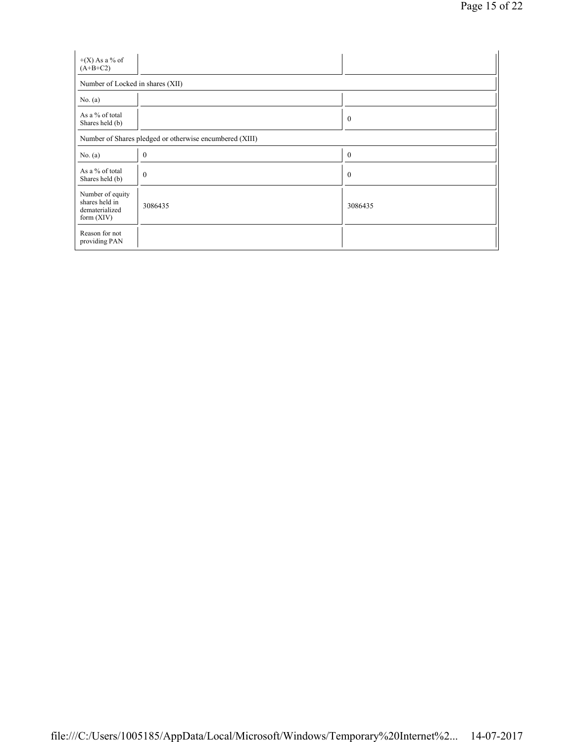| $+(X)$ As a % of<br>$(A+B+C2)$                                       |                                                         |                  |  |  |  |  |  |
|----------------------------------------------------------------------|---------------------------------------------------------|------------------|--|--|--|--|--|
| Number of Locked in shares (XII)                                     |                                                         |                  |  |  |  |  |  |
| No. $(a)$                                                            |                                                         |                  |  |  |  |  |  |
| As a % of total<br>Shares held (b)                                   |                                                         | $\boldsymbol{0}$ |  |  |  |  |  |
|                                                                      | Number of Shares pledged or otherwise encumbered (XIII) |                  |  |  |  |  |  |
| No. $(a)$                                                            | $\boldsymbol{0}$                                        | $\boldsymbol{0}$ |  |  |  |  |  |
| As a % of total<br>Shares held (b)                                   | $\mathbf{0}$                                            | $\mathbf{0}$     |  |  |  |  |  |
| Number of equity<br>shares held in<br>dematerialized<br>form $(XIV)$ | 3086435                                                 | 3086435          |  |  |  |  |  |
| Reason for not<br>providing PAN                                      |                                                         |                  |  |  |  |  |  |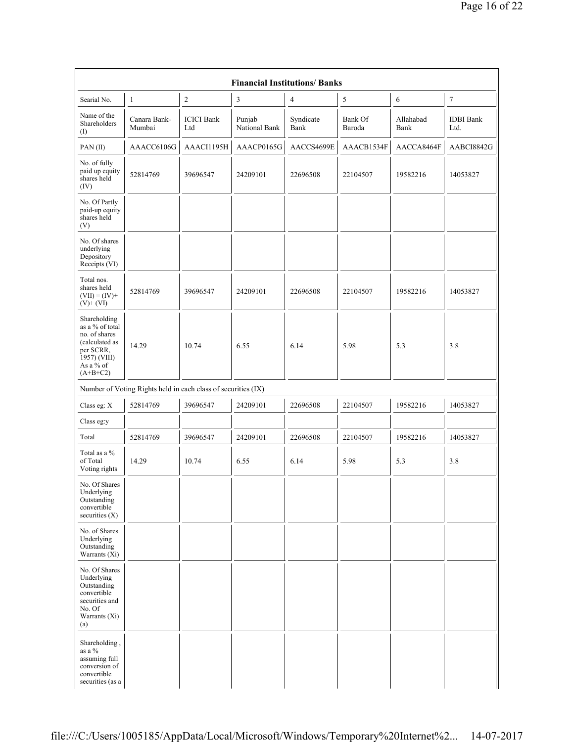|                                                                                                                            | <b>Financial Institutions/Banks</b>                           |                          |                         |                   |                   |                   |                          |
|----------------------------------------------------------------------------------------------------------------------------|---------------------------------------------------------------|--------------------------|-------------------------|-------------------|-------------------|-------------------|--------------------------|
| Searial No.                                                                                                                | 1                                                             | $\boldsymbol{2}$         | 3                       | $\overline{4}$    | $\sqrt{5}$        | 6                 | $\tau$                   |
| Name of the<br>Shareholders<br>$($ I                                                                                       | Canara Bank-<br>Mumbai                                        | <b>ICICI</b> Bank<br>Ltd | Punjab<br>National Bank | Syndicate<br>Bank | Bank Of<br>Baroda | Allahabad<br>Bank | <b>IDBI</b> Bank<br>Ltd. |
| PAN(II)                                                                                                                    | AAACC6106G                                                    | AAACI1195H               | AAACP0165G              | AACCS4699E        | AAACB1534F        | AACCA8464F        | AABCI8842G               |
| No. of fully<br>paid up equity<br>shares held<br>(IV)                                                                      | 52814769                                                      | 39696547                 | 24209101                | 22696508          | 22104507          | 19582216          | 14053827                 |
| No. Of Partly<br>paid-up equity<br>shares held<br>(V)                                                                      |                                                               |                          |                         |                   |                   |                   |                          |
| No. Of shares<br>underlying<br>Depository<br>Receipts (VI)                                                                 |                                                               |                          |                         |                   |                   |                   |                          |
| Total nos.<br>shares held<br>$(VII) = (IV) +$<br>$(V)+(VI)$                                                                | 52814769                                                      | 39696547                 | 24209101                | 22696508          | 22104507          | 19582216          | 14053827                 |
| Shareholding<br>as a % of total<br>no. of shares<br>(calculated as<br>per SCRR,<br>1957) (VIII)<br>As a % of<br>$(A+B+C2)$ | 14.29                                                         | 10.74                    | 6.55                    | 6.14              | 5.98              | 5.3               | 3.8                      |
|                                                                                                                            | Number of Voting Rights held in each class of securities (IX) |                          |                         |                   |                   |                   |                          |
| Class eg: X                                                                                                                | 52814769                                                      | 39696547                 | 24209101                | 22696508          | 22104507          | 19582216          | 14053827                 |
| Class eg:y                                                                                                                 |                                                               |                          |                         |                   |                   |                   |                          |
| Total                                                                                                                      | 52814769                                                      | 39696547                 | 24209101                | 22696508          | 22104507          | 19582216          | 14053827                 |
| Total as a %<br>of Total<br>Voting rights                                                                                  | 14.29                                                         | 10.74                    | 6.55                    | 6.14              | 5.98              | 5.3               | 3.8                      |
| No. Of Shares<br>Underlying<br>Outstanding<br>convertible<br>securities $(X)$                                              |                                                               |                          |                         |                   |                   |                   |                          |
| No. of Shares<br>Underlying<br>Outstanding<br>Warrants (Xi)                                                                |                                                               |                          |                         |                   |                   |                   |                          |
| No. Of Shares<br>Underlying<br>Outstanding<br>convertible<br>securities and<br>No. Of<br>Warrants (Xi)<br>(a)              |                                                               |                          |                         |                   |                   |                   |                          |
| Shareholding,<br>as a %<br>assuming full<br>conversion of<br>convertible<br>securities (as a                               |                                                               |                          |                         |                   |                   |                   |                          |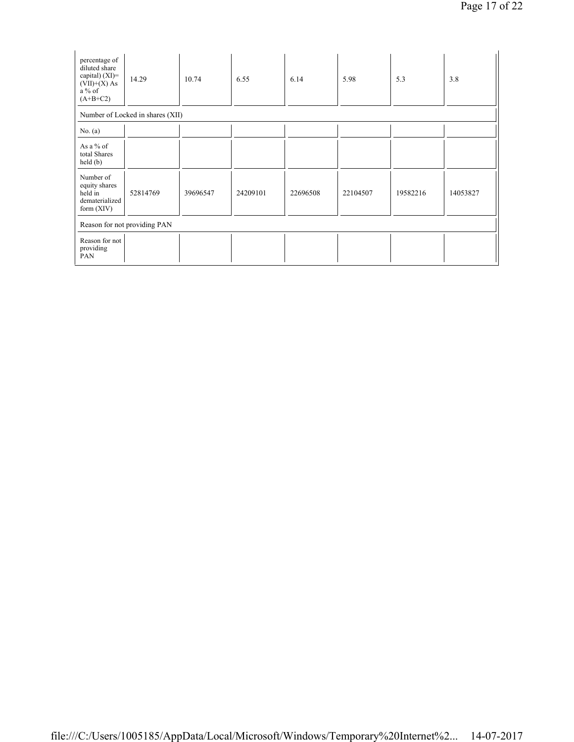| percentage of<br>diluted share<br>capital) $(XI)$ =<br>$(VII)+(X)$ As<br>$a\%$ of<br>$(A+B+C2)$ | 14.29                            | 10.74    | 6.55     | 6.14     | 5.98     | 5.3      | 3.8      |
|-------------------------------------------------------------------------------------------------|----------------------------------|----------|----------|----------|----------|----------|----------|
|                                                                                                 | Number of Locked in shares (XII) |          |          |          |          |          |          |
| No. $(a)$                                                                                       |                                  |          |          |          |          |          |          |
| As a % of<br>total Shares<br>held(b)                                                            |                                  |          |          |          |          |          |          |
| Number of<br>equity shares<br>held in<br>dematerialized<br>form $(XIV)$                         | 52814769                         | 39696547 | 24209101 | 22696508 | 22104507 | 19582216 | 14053827 |
| Reason for not providing PAN                                                                    |                                  |          |          |          |          |          |          |
| Reason for not<br>providing<br>PAN                                                              |                                  |          |          |          |          |          |          |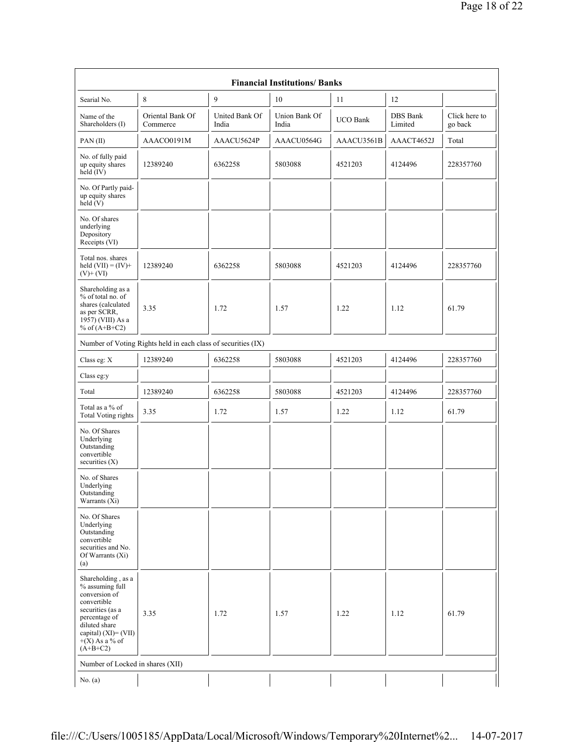| <b>Financial Institutions/Banks</b>                                                                                                                                                      |                                                               |                                |                        |                 |                            |                          |
|------------------------------------------------------------------------------------------------------------------------------------------------------------------------------------------|---------------------------------------------------------------|--------------------------------|------------------------|-----------------|----------------------------|--------------------------|
| Searial No.                                                                                                                                                                              | 8                                                             | 9                              | 10                     | 11              | 12                         |                          |
| Name of the<br>Shareholders (I)                                                                                                                                                          | Oriental Bank Of<br>Commerce                                  | <b>United Bank Of</b><br>India | Union Bank Of<br>India | <b>UCO Bank</b> | <b>DBS</b> Bank<br>Limited | Click here to<br>go back |
| PAN(II)                                                                                                                                                                                  | AAACO0191M                                                    | AAACU5624P                     | AAACU0564G             | AAACU3561B      | AAACT4652J                 | Total                    |
| No. of fully paid<br>up equity shares<br>held $(IV)$                                                                                                                                     | 12389240                                                      | 6362258                        | 5803088                | 4521203         | 4124496                    | 228357760                |
| No. Of Partly paid-<br>up equity shares<br>held $(V)$                                                                                                                                    |                                                               |                                |                        |                 |                            |                          |
| No. Of shares<br>underlying<br>Depository<br>Receipts (VI)                                                                                                                               |                                                               |                                |                        |                 |                            |                          |
| Total nos. shares<br>held $(VII) = (IV) +$<br>$(V)+(VI)$                                                                                                                                 | 12389240                                                      | 6362258                        | 5803088                | 4521203         | 4124496                    | 228357760                |
| Shareholding as a<br>% of total no. of<br>shares (calculated<br>as per SCRR,<br>1957) (VIII) As a<br>% of $(A+B+C2)$                                                                     | 3.35                                                          | 1.72                           | 1.57                   | 1.22            | 1.12                       | 61.79                    |
|                                                                                                                                                                                          | Number of Voting Rights held in each class of securities (IX) |                                |                        |                 |                            |                          |
| Class eg: X                                                                                                                                                                              | 12389240                                                      | 6362258                        | 5803088                | 4521203         | 4124496                    | 228357760                |
| Class eg:y                                                                                                                                                                               |                                                               |                                |                        |                 |                            |                          |
| Total                                                                                                                                                                                    | 12389240                                                      | 6362258                        | 5803088                | 4521203         | 4124496                    | 228357760                |
| Total as a % of<br><b>Total Voting rights</b>                                                                                                                                            | 3.35                                                          | 1.72                           | 1.57                   | 1.22            | 1.12                       | 61.79                    |
| No. Of Shares<br>Underlying<br>Outstanding<br>convertible<br>securities $(X)$                                                                                                            |                                                               |                                |                        |                 |                            |                          |
| No. of Shares<br>Underlying<br>Outstanding<br>Warrants (Xi)                                                                                                                              |                                                               |                                |                        |                 |                            |                          |
| No. Of Shares<br>Underlying<br>Outstanding<br>convertible<br>securities and No.<br>Of Warrants (Xi)<br>(a)                                                                               |                                                               |                                |                        |                 |                            |                          |
| Shareholding, as a<br>% assuming full<br>conversion of<br>convertible<br>securities (as a<br>percentage of<br>diluted share<br>capital) $(XI) = (VII)$<br>$+(X)$ As a % of<br>$(A+B+C2)$ | 3.35                                                          | 1.72                           | 1.57                   | 1.22            | 1.12                       | 61.79                    |
| Number of Locked in shares (XII)                                                                                                                                                         |                                                               |                                |                        |                 |                            |                          |
| No. $(a)$                                                                                                                                                                                |                                                               |                                |                        |                 |                            |                          |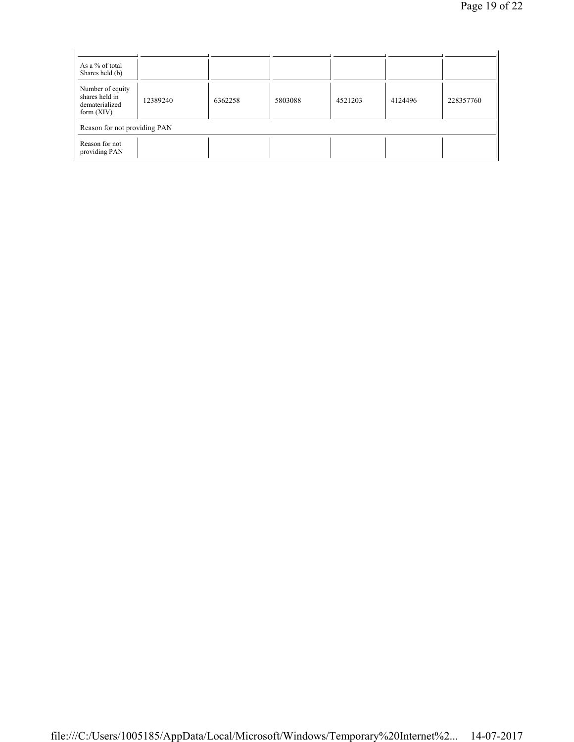| As a % of total<br>Shares held (b)                                   |          |         |         |         |         |           |
|----------------------------------------------------------------------|----------|---------|---------|---------|---------|-----------|
| Number of equity<br>shares held in<br>dematerialized<br>form $(XIV)$ | 12389240 | 6362258 | 5803088 | 4521203 | 4124496 | 228357760 |
| Reason for not providing PAN                                         |          |         |         |         |         |           |
| Reason for not<br>providing PAN                                      |          |         |         |         |         |           |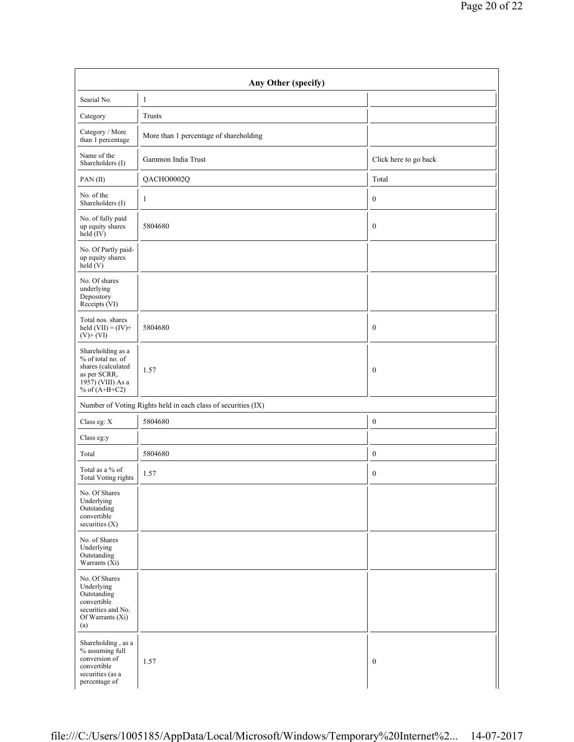| Searial No.                                                                                                                        | $\mathbf{1}$                                                  |                       |
|------------------------------------------------------------------------------------------------------------------------------------|---------------------------------------------------------------|-----------------------|
| Category                                                                                                                           | Trusts                                                        |                       |
| Category / More<br>than 1 percentage                                                                                               | More than 1 percentage of shareholding                        |                       |
| Name of the<br>Shareholders (I)                                                                                                    | Gammon India Trust                                            | Click here to go back |
| PAN(II)                                                                                                                            | QACHO0002Q                                                    | Total                 |
| No. of the<br>Shareholders (I)                                                                                                     | -1                                                            | $\boldsymbol{0}$      |
| No. of fully paid<br>up equity shares<br>held (IV)                                                                                 | 5804680                                                       | $\boldsymbol{0}$      |
| No. Of Partly paid-<br>up equity shares<br>$\text{held} (V)$                                                                       |                                                               |                       |
| No. Of shares<br>underlying<br>Depository<br>Receipts (VI)                                                                         |                                                               |                       |
| Total nos. shares<br>held $(VII) = (IV) +$<br>$(V)$ + $(VI)$                                                                       | 5804680                                                       | $\boldsymbol{0}$      |
| Shareholding as a<br>% of total no. of<br>shares (calculated<br>as per SCRR,<br>$19\overline{57}$ ) (VIII) As a<br>% of $(A+B+C2)$ | 1.57                                                          | $\boldsymbol{0}$      |
|                                                                                                                                    | Number of Voting Rights held in each class of securities (IX) |                       |
| Class eg: $\mathbf X$                                                                                                              | 5804680                                                       | $\boldsymbol{0}$      |
| Class eg:y                                                                                                                         |                                                               |                       |
| Total                                                                                                                              | 5804680                                                       | $\boldsymbol{0}$      |
| Total as a % of<br><b>Total Voting rights</b>                                                                                      | 1.57                                                          | $\boldsymbol{0}$      |
| No. Of Shares<br>Underlying<br>Outstanding<br>convertible<br>securities (X)                                                        |                                                               |                       |
| No. of Shares<br>Underlying<br>Outstanding<br>Warrants $(X_i)$                                                                     |                                                               |                       |
| No. Of Shares<br>Underlying<br>Outstanding<br>convertible<br>securities and No.<br>Of Warrants (Xi)<br>(a)                         |                                                               |                       |
| Shareholding, as a<br>% assuming full<br>conversion of<br>convertible<br>securities (as a                                          | 1.57                                                          | $\boldsymbol{0}$      |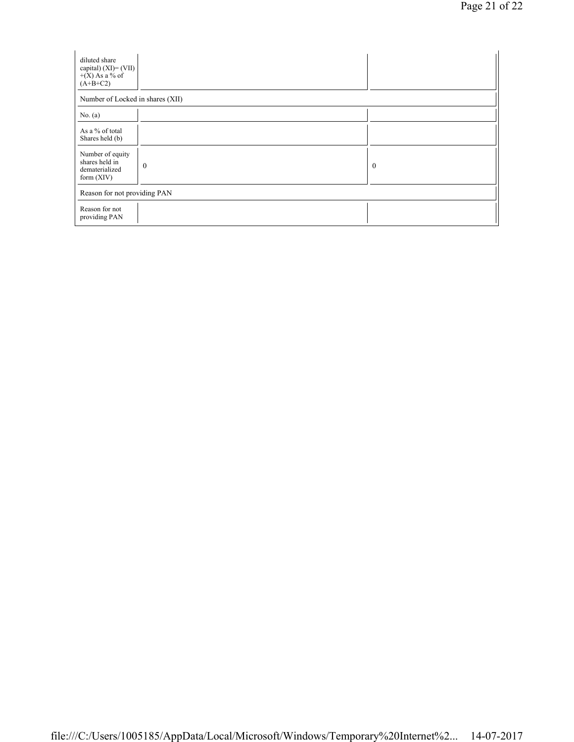| diluted share<br>capital) $(XI) = (VII)$<br>$+(X)$ As a % of<br>$(A+B+C2)$ |                  |          |  |  |  |
|----------------------------------------------------------------------------|------------------|----------|--|--|--|
| Number of Locked in shares (XII)                                           |                  |          |  |  |  |
| No. $(a)$                                                                  |                  |          |  |  |  |
| As a % of total<br>Shares held (b)                                         |                  |          |  |  |  |
| Number of equity<br>shares held in<br>dematerialized<br>form $(XIV)$       | $\boldsymbol{0}$ | $\bf{0}$ |  |  |  |
| Reason for not providing PAN                                               |                  |          |  |  |  |
| Reason for not<br>providing PAN                                            |                  |          |  |  |  |